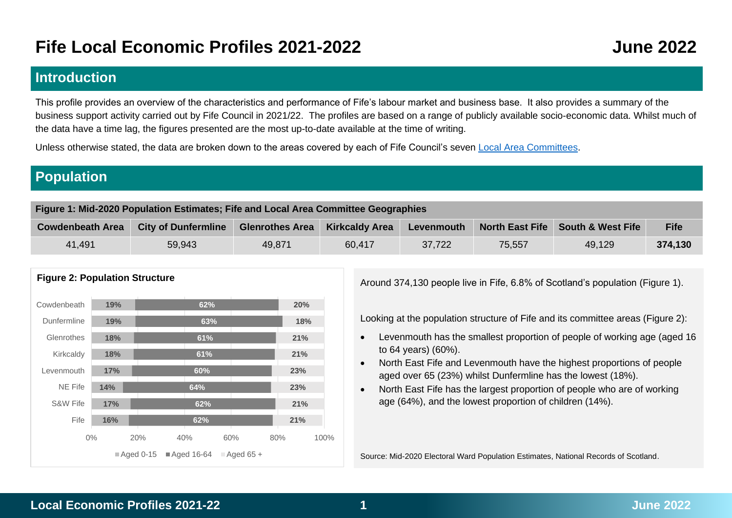# **Fife Local Economic Profiles 2021-2022 June 2022**

## **Introduction**

This profile provides an overview of the characteristics and performance of Fife's labour market and business base. It also provides a summary of the business support activity carried out by Fife Council in 2021/22. The profiles are based on a range of publicly available socio-economic data. Whilst much of the data have a time lag, the figures presented are the most up-to-date available at the time of writing.

Unless otherwise stated, the data are broken down to the areas covered by each of Fife Council's seven [Local Area Committees.](https://www.fife.gov.uk/__data/assets/pdf_file/0027/188064/Fife-Council-Area-Committee-Overview-Map.pdf)

# **Population**

| Figure 1: Mid-2020 Population Estimates; Fife and Local Area Committee Geographies |                            |                                                                                                      |        |        |        |        |         |  |  |  |
|------------------------------------------------------------------------------------|----------------------------|------------------------------------------------------------------------------------------------------|--------|--------|--------|--------|---------|--|--|--|
| <b>Cowdenbeath Area</b>                                                            | <b>City of Dunfermline</b> | <b>Kirkcaldy Area</b><br>North East Fife   South & West Fife<br><b>Glenrothes Area</b><br>Levenmouth |        |        |        |        |         |  |  |  |
| 41,491                                                                             | 59,943                     | 49,871                                                                                               | 60.417 | 37.722 | 75,557 | 49,129 | 374,130 |  |  |  |



Around 374,130 people live in Fife, 6.8% of Scotland's population (Figure 1).

Looking at the population structure of Fife and its committee areas (Figure 2):

- Levenmouth has the smallest proportion of people of working age (aged 16 to 64 years) (60%).
- North East Fife and Levenmouth have the highest proportions of people aged over 65 (23%) whilst Dunfermline has the lowest (18%).
- North East Fife has the largest proportion of people who are of working age (64%), and the lowest proportion of children (14%).

Source: Mid-2020 Electoral Ward Population Estimates, National Records of Scotland.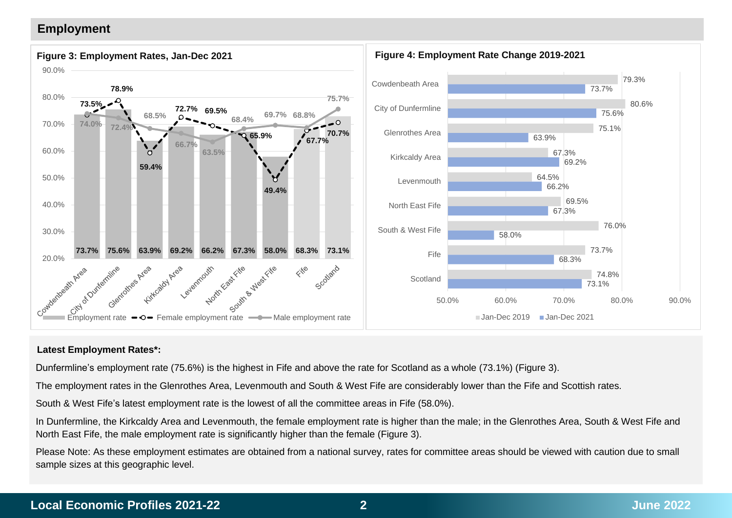## **Employment**



### **Latest Employment Rates\*:**

Dunfermline's employment rate (75.6%) is the highest in Fife and above the rate for Scotland as a whole (73.1%) (Figure 3).

The employment rates in the Glenrothes Area, Levenmouth and South & West Fife are considerably lower than the Fife and Scottish rates.

South & West Fife's latest employment rate is the lowest of all the committee areas in Fife (58.0%).

In Dunfermline, the Kirkcaldy Area and Levenmouth, the female employment rate is higher than the male; in the Glenrothes Area, South & West Fife and North East Fife, the male employment rate is significantly higher than the female (Figure 3).

Please Note: As these employment estimates are obtained from a national survey, rates for committee areas should be viewed with caution due to small sample sizes at this geographic level.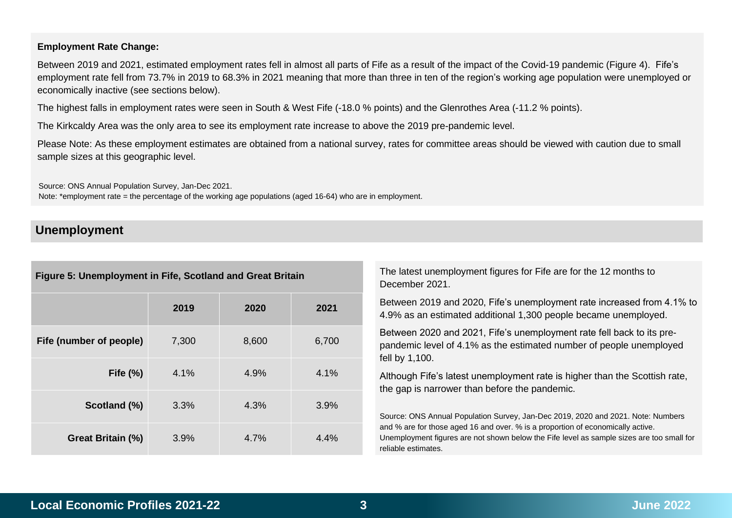### **Employment Rate Change:**

Between 2019 and 2021, estimated employment rates fell in almost all parts of Fife as a result of the impact of the Covid-19 pandemic (Figure 4). Fife's employment rate fell from 73.7% in 2019 to 68.3% in 2021 meaning that more than three in ten of the region's working age population were unemployed or economically inactive (see sections below).

The highest falls in employment rates were seen in South & West Fife (-18.0 % points) and the Glenrothes Area (-11.2 % points).

The Kirkcaldy Area was the only area to see its employment rate increase to above the 2019 pre-pandemic level.

Please Note: As these employment estimates are obtained from a national survey, rates for committee areas should be viewed with caution due to small sample sizes at this geographic level.

Source: ONS Annual Population Survey, Jan-Dec 2021.

Note: \*employment rate = the percentage of the working age populations (aged 16-64) who are in employment.

## **Unemployment**

| Figure 5: Unemployment in Fife, Scotland and Great Britain |       |       |       |  |  |  |  |  |  |  |
|------------------------------------------------------------|-------|-------|-------|--|--|--|--|--|--|--|
|                                                            | 2019  | 2020  | 2021  |  |  |  |  |  |  |  |
| Fife (number of people)                                    | 7,300 | 8,600 | 6,700 |  |  |  |  |  |  |  |
| Fife $(\%)$                                                | 4.1%  | 4.9%  | 4.1%  |  |  |  |  |  |  |  |
| Scotland (%)                                               | 3.3%  | 4.3%  | 3.9%  |  |  |  |  |  |  |  |
| Great Britain (%)                                          | 3.9%  | 4.7%  | 4.4%  |  |  |  |  |  |  |  |

The latest unemployment figures for Fife are for the 12 months to December 2021.

Between 2019 and 2020, Fife's unemployment rate increased from 4.1% to 4.9% as an estimated additional 1,300 people became unemployed.

Between 2020 and 2021, Fife's unemployment rate fell back to its prepandemic level of 4.1% as the estimated number of people unemployed fell by 1,100.

Although Fife's latest unemployment rate is higher than the Scottish rate, the gap is narrower than before the pandemic.

Source: ONS Annual Population Survey, Jan-Dec 2019, 2020 and 2021. Note: Numbers and % are for those aged 16 and over. % is a proportion of economically active. Unemployment figures are not shown below the Fife level as sample sizes are too small for reliable estimates.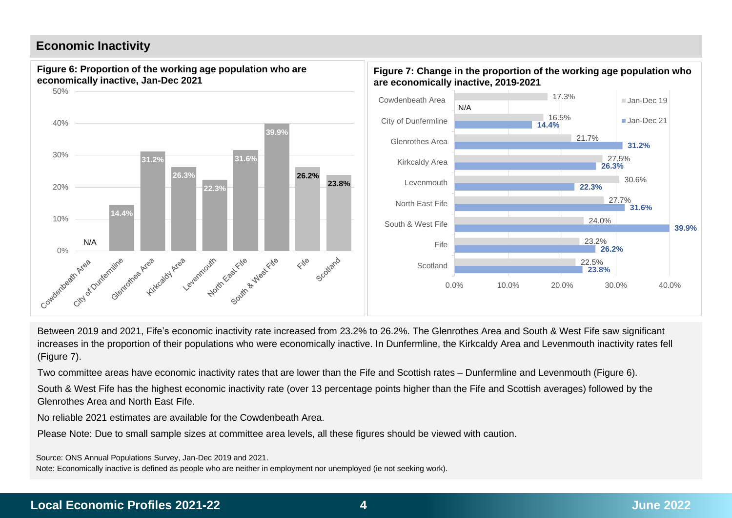## **Economic Inactivity**



Between 2019 and 2021, Fife's economic inactivity rate increased from 23.2% to 26.2%. The Glenrothes Area and South & West Fife saw significant increases in the proportion of their populations who were economically inactive. In Dunfermline, the Kirkcaldy Area and Levenmouth inactivity rates fell (Figure 7).

Two committee areas have economic inactivity rates that are lower than the Fife and Scottish rates – Dunfermline and Levenmouth (Figure 6).

South & West Fife has the highest economic inactivity rate (over 13 percentage points higher than the Fife and Scottish averages) followed by the Glenrothes Area and North East Fife.

No reliable 2021 estimates are available for the Cowdenbeath Area.

Please Note: Due to small sample sizes at committee area levels, all these figures should be viewed with caution.

Source: ONS Annual Populations Survey, Jan-Dec 2019 and 2021.

Note: Economically inactive is defined as people who are neither in employment nor unemployed (ie not seeking work).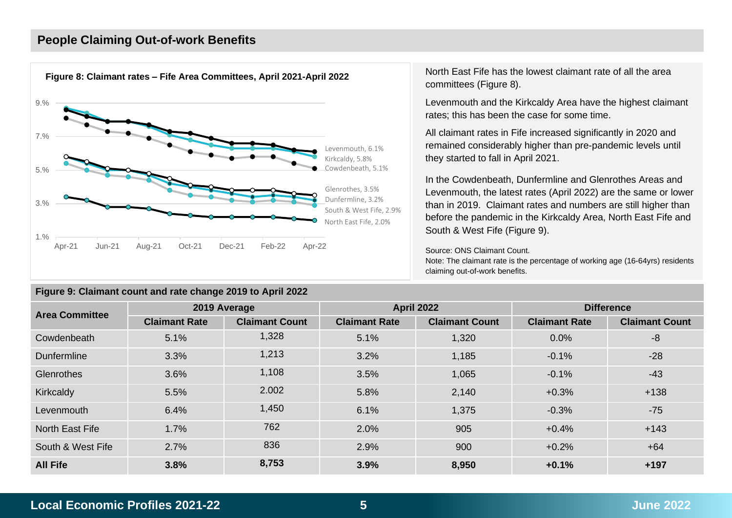## **People Claiming Out-of-work Benefits**



### **Figure 9: Claimant count and rate change 2019 to April 2022**

North East Fife has the lowest claimant rate of all the area committees (Figure 8).

Levenmouth and the Kirkcaldy Area have the highest claimant rates; this has been the case for some time.

All claimant rates in Fife increased significantly in 2020 and remained considerably higher than pre-pandemic levels until they started to fall in April 2021.

In the Cowdenbeath, Dunfermline and Glenrothes Areas and Levenmouth, the latest rates (April 2022) are the same or lower than in 2019. Claimant rates and numbers are still higher than before the pandemic in the Kirkcaldy Area, North East Fife and South & West Fife (Figure 9).

Source: ONS Claimant Count.

Note: The claimant rate is the percentage of working age (16-64yrs) residents claiming out-of-work benefits.

| <b>Area Committee</b>  |                      | 2019 Average          |                      | <b>April 2022</b>     | <b>Difference</b>    |                       |  |
|------------------------|----------------------|-----------------------|----------------------|-----------------------|----------------------|-----------------------|--|
|                        | <b>Claimant Rate</b> | <b>Claimant Count</b> | <b>Claimant Rate</b> | <b>Claimant Count</b> | <b>Claimant Rate</b> | <b>Claimant Count</b> |  |
| Cowdenbeath            | 5.1%                 | 1,328                 | 5.1%                 | 1,320                 | 0.0%                 | -8                    |  |
| Dunfermline            | 3.3%                 | 1,213                 | 3.2%                 | 1,185                 | $-0.1%$              | $-28$                 |  |
| Glenrothes             | 3.6%                 | 1,108                 | 3.5%                 | 1,065                 | $-0.1%$              | $-43$                 |  |
| <b>Kirkcaldy</b>       | 5.5%                 | 2.002                 | 5.8%                 | 2,140                 | $+0.3%$              | $+138$                |  |
| Levenmouth             | 6.4%                 | 1,450                 | 6.1%                 | 1,375                 | $-0.3%$              | $-75$                 |  |
| <b>North East Fife</b> | 1.7%                 | 762                   | 2.0%                 | 905                   | $+0.4%$              | $+143$                |  |
| South & West Fife      | 2.7%                 | 836                   | 2.9%                 | 900                   | $+0.2%$              | $+64$                 |  |
| <b>All Fife</b>        | 3.8%                 | 8,753                 | 3.9%                 | 8,950                 | $+0.1%$              | $+197$                |  |

## **Local Economic Profiles 2021-22 5 June 2022**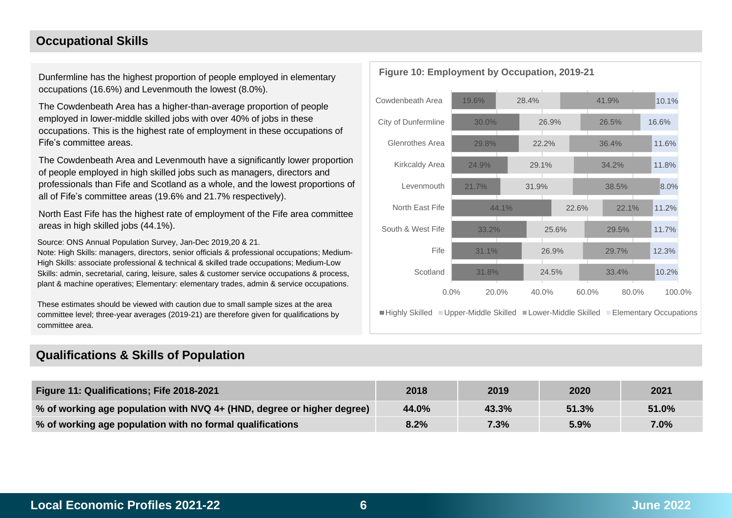## **Occupational Skills**

Dunfermline has the highest proportion of people employed in elementary occupations (16.6%) and Levenmouth the lowest (8.0%).

The Cowdenbeath Area has a higher-than-average proportion of people employed in lower-middle skilled jobs with over 40% of jobs in these occupations. This is the highest rate of employment in these occupations of Fife's committee areas.

The Cowdenbeath Area and Levenmouth have a significantly lower proportion of people employed in high skilled jobs such as managers, directors and professionals than Fife and Scotland as a whole, and the lowest proportions of all of Fife's committee areas (19.6% and 21.7% respectively).

North East Fife has the highest rate of employment of the Fife area committee areas in high skilled jobs (44.1%).

Source: ONS Annual Population Survey, Jan-Dec 2019,20 & 21.

Note: High Skills: managers, directors, senior officials & professional occupations; Medium-High Skills: associate professional & technical & skilled trade occupations; Medium-Low Skills: admin, secretarial, caring, leisure, sales & customer service occupations & process, plant & machine operatives; Elementary: elementary trades, admin & service occupations.

These estimates should be viewed with caution due to small sample sizes at the area committee level; three-year averages (2019-21) are therefore given for qualifications by committee area.

## **Qualifications & Skills of Population**



■Highly Skilled ■Upper-Middle Skilled ■Lower-Middle Skilled ■Elementary Occupations

| Figure 11: Qualifications; Fife 2018-2021                              | 2018  | 2019  | 2020  | 2021  |
|------------------------------------------------------------------------|-------|-------|-------|-------|
| % of working age population with NVQ 4+ (HND, degree or higher degree) | 44.0% | 43.3% | 51.3% | 51.0% |
| % of working age population with no formal qualifications              | 8.2%  | 7.3%  | 5.9%  | 7.0%  |

## **Figure 10: Employment by Occupation, 2019-21**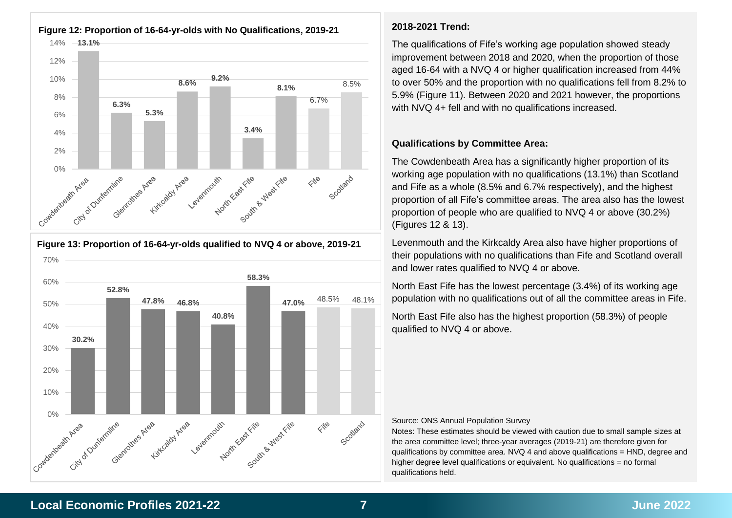

70% **58.3%** 60% **52.8% 47.0%** 48.5% 48.1% **47.8% 46.8%** 50% **40.8%** 40% **30.2%** 30% 20% 10% Novin East rie West File Combentositr Area City of Ourfiermine Glenfolings Area Kirkcaldy Area Scotland Leyenmouth  $\Leftrightarrow^{\Bbbk^{\odot}}$ 

**Figure 13: Proportion of 16-64-yr-olds qualified to NVQ 4 or above, 2019-21**

## **2018-2021 Trend:**

The qualifications of Fife's working age population showed steady improvement between 2018 and 2020, when the proportion of those aged 16-64 with a NVQ 4 or higher qualification increased from 44% to over 50% and the proportion with no qualifications fell from 8.2% to 5.9% (Figure 11). Between 2020 and 2021 however, the proportions with NVQ 4+ fell and with no qualifications increased.

#### **Qualifications by Committee Area:**

The Cowdenbeath Area has a significantly higher proportion of its working age population with no qualifications (13.1%) than Scotland and Fife as a whole (8.5% and 6.7% respectively), and the highest proportion of all Fife's committee areas. The area also has the lowest proportion of people who are qualified to NVQ 4 or above (30.2%) (Figures 12 & 13).

Levenmouth and the Kirkcaldy Area also have higher proportions of their populations with no qualifications than Fife and Scotland overall and lower rates qualified to NVQ 4 or above.

North East Fife has the lowest percentage (3.4%) of its working age population with no qualifications out of all the committee areas in Fife.

North East Fife also has the highest proportion (58.3%) of people qualified to NVQ 4 or above.

#### Source: ONS Annual Population Survey

Notes: These estimates should be viewed with caution due to small sample sizes at the area committee level; three-year averages (2019-21) are therefore given for qualifications by committee area.  $N/Q$  4 and above qualifications  $= HND$ , degree and higher degree level qualifications or equivalent. No qualifications = no formal qualifications held.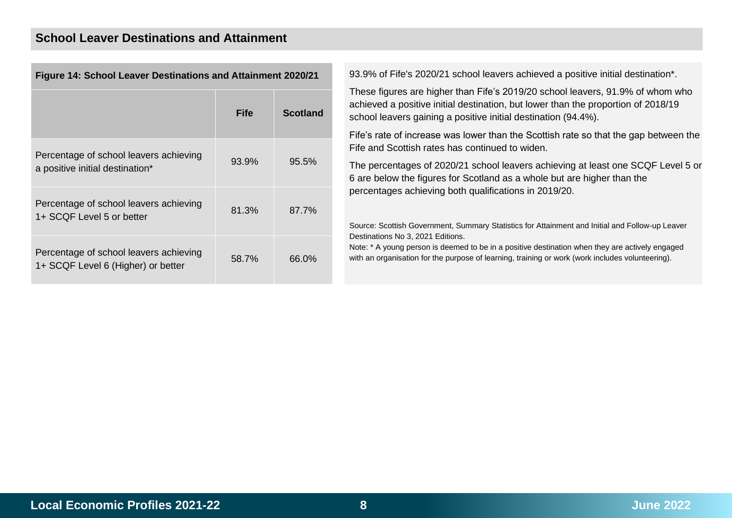| Figure 14: School Leaver Destinations and Attainment 2020/21                 |             |                 |
|------------------------------------------------------------------------------|-------------|-----------------|
|                                                                              | <b>Fife</b> | <b>Scotland</b> |
| Percentage of school leavers achieving<br>a positive initial destination*    | 93.9%       | 95.5%           |
| Percentage of school leavers achieving<br>1+ SCQF Level 5 or better          | 81.3%       | 87.7%           |
| Percentage of school leavers achieving<br>1+ SCQF Level 6 (Higher) or better | 58.7%       | 66.0%           |

93.9% of Fife's 2020/21 school leavers achieved a positive initial destination\*.

These figures are higher than Fife's 2019/20 school leavers, 91.9% of whom who achieved a positive initial destination, but lower than the proportion of 2018/19 school leavers gaining a positive initial destination (94.4%).

Fife's rate of increase was lower than the Scottish rate so that the gap between the Fife and Scottish rates has continued to widen.

The percentages of 2020/21 school leavers achieving at least one SCQF Level 5 or 6 are below the figures for Scotland as a whole but are higher than the percentages achieving both qualifications in 2019/20.

Source: Scottish Government, Summary Statistics for Attainment and Initial and Follow-up Leaver Destinations No 3, 2021 Editions.

Note: \* A young person is deemed to be in a positive destination when they are actively engaged with an organisation for the purpose of learning, training or work (work includes volunteering).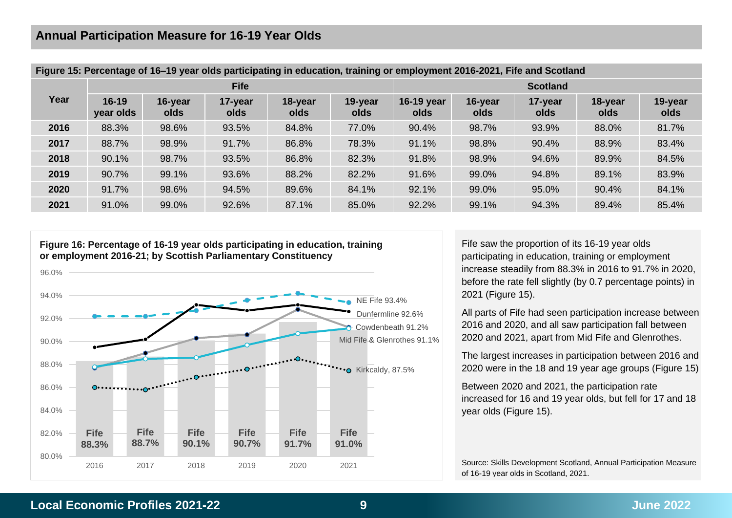|      | Figure 15: Percentage of 16–19 year olds participating in equcation, training or employment 2016-2021, Fife and Scotland |                 |                 |                 |                 |                    |                 |                 |                 |                 |  |  |  |
|------|--------------------------------------------------------------------------------------------------------------------------|-----------------|-----------------|-----------------|-----------------|--------------------|-----------------|-----------------|-----------------|-----------------|--|--|--|
|      |                                                                                                                          |                 | <b>Fife</b>     |                 |                 | <b>Scotland</b>    |                 |                 |                 |                 |  |  |  |
| Year | $16 - 19$<br>year olds                                                                                                   | 16-year<br>olds | 17-year<br>olds | 18-year<br>olds | 19-year<br>olds | 16-19 year<br>olds | 16-year<br>olds | 17-year<br>olds | 18-year<br>olds | 19-year<br>olds |  |  |  |
| 2016 | 88.3%                                                                                                                    | 98.6%           | 93.5%           | 84.8%           | 77.0%           | 90.4%              | 98.7%           | 93.9%           | 88.0%           | 81.7%           |  |  |  |
| 2017 | 88.7%                                                                                                                    | 98.9%           | 91.7%           | 86.8%           | 78.3%           | 91.1%              | 98.8%           | 90.4%           | 88.9%           | 83.4%           |  |  |  |
| 2018 | 90.1%                                                                                                                    | 98.7%           | 93.5%           | 86.8%           | 82.3%           | 91.8%              | 98.9%           | 94.6%           | 89.9%           | 84.5%           |  |  |  |
| 2019 | 90.7%                                                                                                                    | 99.1%           | 93.6%           | 88.2%           | 82.2%           | 91.6%              | 99.0%           | 94.8%           | 89.1%           | 83.9%           |  |  |  |
| 2020 | 91.7%                                                                                                                    | 98.6%           | 94.5%           | 89.6%           | 84.1%           | 92.1%              | 99.0%           | 95.0%           | 90.4%           | 84.1%           |  |  |  |
| 2021 | 91.0%                                                                                                                    | 99.0%           | 92.6%           | 87.1%           | 85.0%           | 92.2%              | 99.1%           | 94.3%           | 89.4%           | 85.4%           |  |  |  |
|      |                                                                                                                          |                 |                 |                 |                 |                    |                 |                 |                 |                 |  |  |  |

| Figure 15: Percentage of 16-19 year olds participating in education, training or employment 2016-2021, Fife and Scotland |  |  |  |
|--------------------------------------------------------------------------------------------------------------------------|--|--|--|
|                                                                                                                          |  |  |  |



Fife saw the proportion of its 16-19 year olds participating in education, training or employment increase steadily from 88.3% in 2016 to 91.7% in 2020, before the rate fell slightly (by 0.7 percentage points) in 2021 (Figure 15).

All parts of Fife had seen participation increase between 2016 and 2020, and all saw participation fall between 2020 and 2021, apart from Mid Fife and Glenrothes.

The largest increases in participation between 2016 and 2020 were in the 18 and 19 year age groups (Figure 15)

Between 2020 and 2021, the participation rate increased for 16 and 19 year olds, but fell for 17 and 18 year olds (Figure 15).

Source: Skills Development Scotland, Annual Participation Measure of 16-19 year olds in Scotland, 2021.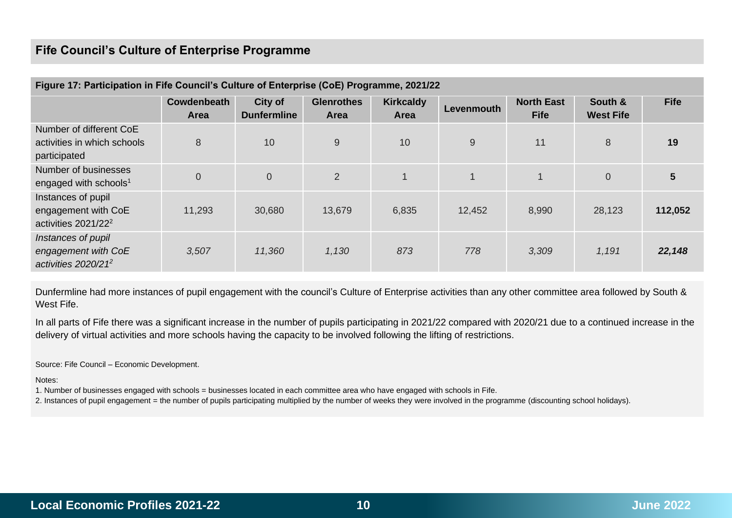## **Fife Council's Culture of Enterprise Programme**

| Figure 17: Participation in Fife Council's Culture of Enterprise (CoE) Programme, 2021/22 |                            |                               |                           |                                 |            |                                  |                             |             |  |  |  |  |
|-------------------------------------------------------------------------------------------|----------------------------|-------------------------------|---------------------------|---------------------------------|------------|----------------------------------|-----------------------------|-------------|--|--|--|--|
|                                                                                           | Cowdenbeath<br><b>Area</b> | City of<br><b>Dunfermline</b> | <b>Glenrothes</b><br>Area | <b>Kirkcaldy</b><br><b>Area</b> | Levenmouth | <b>North East</b><br><b>Fife</b> | South &<br><b>West Fife</b> | <b>Fife</b> |  |  |  |  |
| Number of different CoE<br>activities in which schools<br>participated                    | 8                          | 10                            | 9                         | 10                              | 9          | 11                               | 8                           | 19          |  |  |  |  |
| Number of businesses<br>engaged with schools <sup>1</sup>                                 | $\boldsymbol{0}$           | $\mathbf 0$                   | 2                         |                                 | 1          |                                  | $\overline{0}$              | 5           |  |  |  |  |
| Instances of pupil<br>engagement with CoE<br>activities $2021/22^2$                       | 11,293                     | 30,680                        | 13,679                    | 6,835                           | 12,452     | 8,990                            | 28,123                      | 112,052     |  |  |  |  |
| Instances of pupil<br>engagement with CoE<br>activities $2020/21^2$                       | 3,507                      | 11,360                        | 1,130                     | 873                             | 778        | 3,309                            | 1,191                       | 22,148      |  |  |  |  |

Dunfermline had more instances of pupil engagement with the council's Culture of Enterprise activities than any other committee area followed by South & West Fife.

In all parts of Fife there was a significant increase in the number of pupils participating in 2021/22 compared with 2020/21 due to a continued increase in the delivery of virtual activities and more schools having the capacity to be involved following the lifting of restrictions.

Source: Fife Council – Economic Development.

Notes:

1. Number of businesses engaged with schools = businesses located in each committee area who have engaged with schools in Fife.

2. Instances of pupil engagement = the number of pupils participating multiplied by the number of weeks they were involved in the programme (discounting school holidays).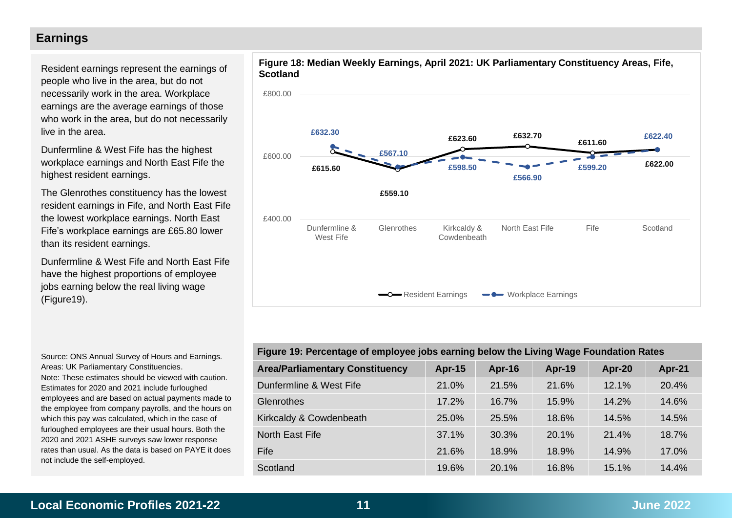## **Earnings**

Resident earnings represent the earnings of people who live in the area, but do not necessarily work in the area. Workplace earnings are the average earnings of those who work in the area, but do not necessarily live in the area.

Dunfermline & West Fife has the highest workplace earnings and North East Fife the highest resident earnings.

The Glenrothes constituency has the lowest resident earnings in Fife, and North East Fife the lowest workplace earnings. North East Fife's workplace earnings are £65.80 lower than its resident earnings.

Dunfermline & West Fife and North East Fife have the highest proportions of employee jobs earning below the real living wage (Figure19).

Source: ONS Annual Survey of Hours and Earnings. Areas: UK Parliamentary Constituencies. Note: These estimates should be viewed with caution. Estimates for 2020 and 2021 include furloughed employees and are based on actual payments made to the employee from company payrolls, and the hours on which this pay was calculated, which in the case of furloughed employees are their usual hours. Both the 2020 and 2021 ASHE surveys saw lower response rates than usual. As the data is based on PAYE it does not include the self-employed.





| Figure 19: Percentage of employee jobs earning below the Living Wage Foundation Rates |               |        |        |        |        |  |  |  |  |  |  |
|---------------------------------------------------------------------------------------|---------------|--------|--------|--------|--------|--|--|--|--|--|--|
| <b>Area/Parliamentary Constituency</b>                                                | <b>Apr-15</b> | Apr-16 | Apr-19 | Apr-20 | Apr-21 |  |  |  |  |  |  |
| Dunfermline & West Fife                                                               | 21.0%         | 21.5%  | 21.6%  | 12.1%  | 20.4%  |  |  |  |  |  |  |
| Glenrothes                                                                            | 17.2%         | 16.7%  | 15.9%  | 14.2%  | 14.6%  |  |  |  |  |  |  |
| Kirkcaldy & Cowdenbeath                                                               | 25.0%         | 25.5%  | 18.6%  | 14.5%  | 14.5%  |  |  |  |  |  |  |
| North East Fife                                                                       | 37.1%         | 30.3%  | 20.1%  | 21.4%  | 18.7%  |  |  |  |  |  |  |
| Fife                                                                                  | 21.6%         | 18.9%  | 18.9%  | 14.9%  | 17.0%  |  |  |  |  |  |  |
| Scotland                                                                              | 19.6%         | 20.1%  | 16.8%  | 15.1%  | 14.4%  |  |  |  |  |  |  |

## **Local Economic Profiles 2021-22 11 June 2022**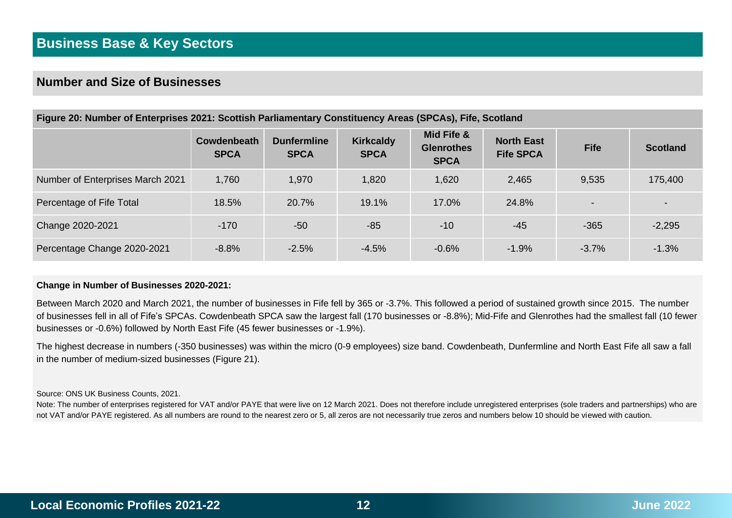## **Number and Size of Businesses**

| Figure 20: Number of Enterprises 2021: Scottish Parliamentary Constituency Areas (SPCAs), Fife, Scotland |                            |                                   |                                 |                                                |                                       |                          |                 |  |  |  |  |
|----------------------------------------------------------------------------------------------------------|----------------------------|-----------------------------------|---------------------------------|------------------------------------------------|---------------------------------------|--------------------------|-----------------|--|--|--|--|
|                                                                                                          | Cowdenbeath<br><b>SPCA</b> | <b>Dunfermline</b><br><b>SPCA</b> | <b>Kirkcaldy</b><br><b>SPCA</b> | Mid Fife &<br><b>Glenrothes</b><br><b>SPCA</b> | <b>North East</b><br><b>Fife SPCA</b> | <b>Fife</b>              | <b>Scotland</b> |  |  |  |  |
| Number of Enterprises March 2021                                                                         | 1,760                      | 1,970                             | 1,820                           | 1,620                                          | 2,465                                 | 9.535                    | 175,400         |  |  |  |  |
| Percentage of Fife Total                                                                                 | 18.5%                      | 20.7%                             | 19.1%                           | 17.0%                                          | 24.8%                                 | $\overline{\phantom{0}}$ |                 |  |  |  |  |
| Change 2020-2021                                                                                         | $-170$                     | $-50$                             | $-85$                           | $-10$                                          | $-45$                                 | $-365$                   | $-2,295$        |  |  |  |  |
| Percentage Change 2020-2021                                                                              | $-8.8\%$                   | $-2.5%$                           | $-4.5\%$                        | $-0.6%$                                        | $-1.9%$                               | $-3.7\%$                 | $-1.3\%$        |  |  |  |  |

#### **Change in Number of Businesses 2020-2021:**

Between March 2020 and March 2021, the number of businesses in Fife fell by 365 or -3.7%. This followed a period of sustained growth since 2015. The number of businesses fell in all of Fife's SPCAs. Cowdenbeath SPCA saw the largest fall (170 businesses or -8.8%); Mid-Fife and Glenrothes had the smallest fall (10 fewer businesses or -0.6%) followed by North East Fife (45 fewer businesses or -1.9%).

The highest decrease in numbers (-350 businesses) was within the micro (0-9 employees) size band. Cowdenbeath, Dunfermline and North East Fife all saw a fall in the number of medium-sized businesses (Figure 21).

Source: ONS UK Business Counts, 2021.

Note: The number of enterprises registered for VAT and/or PAYE that were live on 12 March 2021. Does not therefore include unregistered enterprises (sole traders and partnerships) who are not VAT and/or PAYE registered. As all numbers are round to the nearest zero or 5, all zeros are not necessarily true zeros and numbers below 10 should be viewed with caution.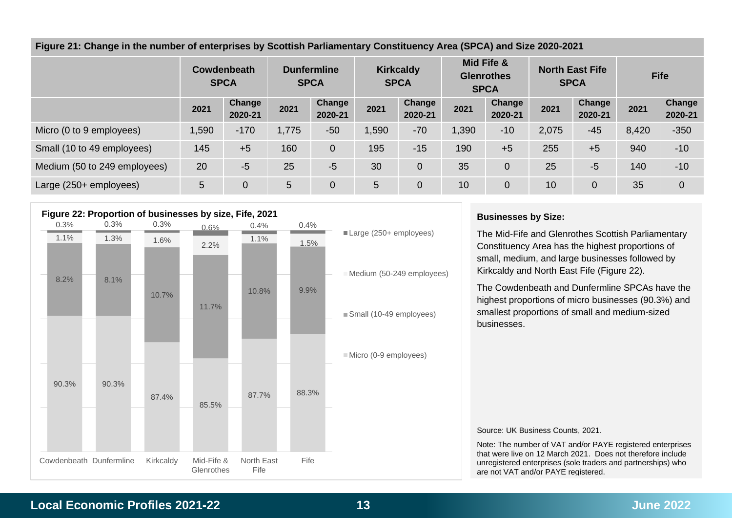|  |  | Figure 21: Change in the number of enterprises by Scottish Parliamentary Constituency Area (SPCA) and Size 2020-2021 |  |  |
|--|--|----------------------------------------------------------------------------------------------------------------------|--|--|
|  |  |                                                                                                                      |  |  |

|                              | Cowdenbeath<br><b>SPCA</b> |                   | <b>Dunfermline</b><br><b>SPCA</b> |                          | <b>Kirkcaldy</b><br><b>SPCA</b> |                   | Mid Fife &<br><b>Glenrothes</b><br><b>SPCA</b> |                   | <b>North East Fife</b><br><b>SPCA</b> |                   | <b>Fife</b> |                   |
|------------------------------|----------------------------|-------------------|-----------------------------------|--------------------------|---------------------------------|-------------------|------------------------------------------------|-------------------|---------------------------------------|-------------------|-------------|-------------------|
|                              | 2021                       | Change<br>2020-21 | 2021                              | <b>Change</b><br>2020-21 | 2021                            | Change<br>2020-21 | 2021                                           | Change<br>2020-21 | 2021                                  | Change<br>2020-21 | 2021        | Change<br>2020-21 |
| Micro (0 to 9 employees)     | 1,590                      | $-170$            | 1,775                             | $-50$                    | 1,590                           | $-70$             | 1,390                                          | $-10$             | 2,075                                 | $-45$             | 8,420       | $-350$            |
| Small (10 to 49 employees)   | 145                        | $+5$              | 160                               | $\overline{0}$           | 195                             | $-15$             | 190                                            | $+5$              | 255                                   | $+5$              | 940         | $-10$             |
| Medium (50 to 249 employees) | 20                         | $-5$              | 25                                | $-5$                     | 30                              | 0                 | 35                                             | 0                 | 25                                    | $-5$              | 140         | $-10$             |
| Large (250+ employees)       | 5                          | 0                 | 5                                 | 0                        | 5                               | 0                 | 10                                             | 0                 | 10                                    | $\overline{0}$    | 35          | $\overline{0}$    |



#### **Businesses by Size:**

The Mid-Fife and Glenrothes Scottish Parliamentary Constituency Area has the highest proportions of small, medium, and large businesses followed by Kirkcaldy and North East Fife (Figure 22).

The Cowdenbeath and Dunfermline SPCAs have the highest proportions of micro businesses (90.3%) and smallest proportions of small and medium-sized businesses.

#### Source: UK Business Counts, 2021.

Note: The number of VAT and/or PAYE registered enterprises that were live on 12 March 2021. Does not therefore include unregistered enterprises (sole traders and partnerships) who are not VAT and/or PAYE registered.

## **Local Economic Profiles 2021-22 13 June 2022**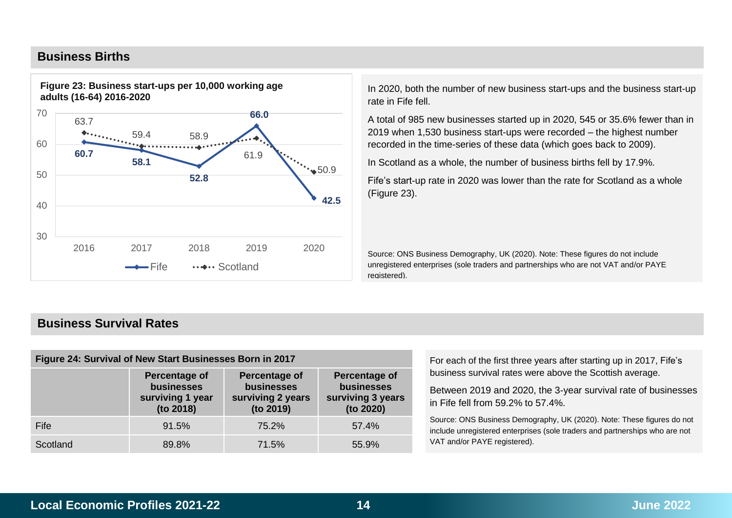## **Business Births**



In 2020, both the number of new business start-ups and the business start-up rate in Fife fell.

A total of 985 new businesses started up in 2020, 545 or 35.6% fewer than in 2019 when 1,530 business start-ups were recorded – the highest number recorded in the time-series of these data (which goes back to 2009).

In Scotland as a whole, the number of business births fell by 17.9%.

Fife's start-up rate in 2020 was lower than the rate for Scotland as a whole (Figure 23).

Source: ONS Business Demography, UK (2020). Note: These figures do not include unregistered enterprises (sole traders and partnerships who are not VAT and/or PAYE registered).

## **Business Survival Rates**

| Figure 24: Survival of New Start Businesses Born in 2017 |                                                              |                                                               |                                                               |  |  |  |  |
|----------------------------------------------------------|--------------------------------------------------------------|---------------------------------------------------------------|---------------------------------------------------------------|--|--|--|--|
|                                                          | Percentage of<br>businesses<br>surviving 1 year<br>(to 2018) | Percentage of<br>businesses<br>surviving 2 years<br>(to 2019) | Percentage of<br>businesses<br>surviving 3 years<br>(to 2020) |  |  |  |  |
| Fife                                                     | 91.5%                                                        | 75.2%                                                         | 57.4%                                                         |  |  |  |  |
| Scotland                                                 | 89.8%                                                        | 71.5%                                                         | 55.9%                                                         |  |  |  |  |

For each of the first three years after starting up in 2017, Fife's business survival rates were above the Scottish average.

Between 2019 and 2020, the 3-year survival rate of businesses in Fife fell from 59.2% to 57.4%.

Source: ONS Business Demography, UK (2020). Note: These figures do not include unregistered enterprises (sole traders and partnerships who are not VAT and/or PAYE registered).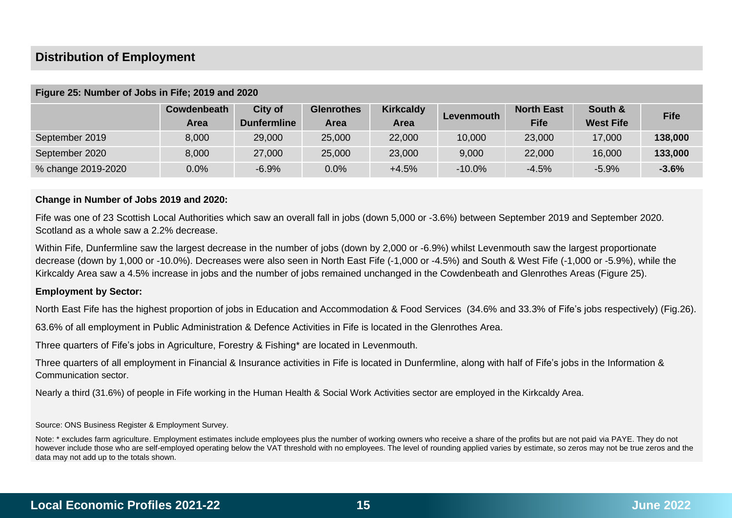## **Distribution of Employment**

|                    | Cowdenbeath<br>Area | City of<br><b>Dunfermline</b> | <b>Glenrothes</b><br><b>Area</b> | <b>Kirkcaldy</b><br>Area | Levenmouth | <b>North East</b><br><b>Fife</b> | South &<br><b>West Fife</b> | <b>Fife</b> |
|--------------------|---------------------|-------------------------------|----------------------------------|--------------------------|------------|----------------------------------|-----------------------------|-------------|
| September 2019     | 8,000               | 29,000                        | 25,000                           | 22,000                   | 10,000     | 23,000                           | 17,000                      | 138,000     |
| September 2020     | 8,000               | 27,000                        | 25,000                           | 23,000                   | 9,000      | 22,000                           | 16,000                      | 133,000     |
| % change 2019-2020 | 0.0%                | $-6.9%$                       | 0.0%                             | $+4.5%$                  | $-10.0\%$  | $-4.5%$                          | $-5.9%$                     | $-3.6%$     |

#### **Figure 25: Number of Jobs in Fife; 2019 and 2020**

#### **Change in Number of Jobs 2019 and 2020:**

Fife was one of 23 Scottish Local Authorities which saw an overall fall in jobs (down 5,000 or -3.6%) between September 2019 and September 2020. Scotland as a whole saw a 2.2% decrease.

Within Fife, Dunfermline saw the largest decrease in the number of jobs (down by 2,000 or -6.9%) whilst Levenmouth saw the largest proportionate decrease (down by 1,000 or -10.0%). Decreases were also seen in North East Fife (-1,000 or -4.5%) and South & West Fife (-1,000 or -5.9%), while the Kirkcaldy Area saw a 4.5% increase in jobs and the number of jobs remained unchanged in the Cowdenbeath and Glenrothes Areas (Figure 25).

#### **Employment by Sector:**

North East Fife has the highest proportion of jobs in Education and Accommodation & Food Services (34.6% and 33.3% of Fife's jobs respectively) (Fig.26).

63.6% of all employment in Public Administration & Defence Activities in Fife is located in the Glenrothes Area.

Three quarters of Fife's jobs in Agriculture, Forestry & Fishing\* are located in Levenmouth.

Three quarters of all employment in Financial & Insurance activities in Fife is located in Dunfermline, along with half of Fife's jobs in the Information & Communication sector.

Nearly a third (31.6%) of people in Fife working in the Human Health & Social Work Activities sector are employed in the Kirkcaldy Area.

Source: ONS Business Register & Employment Survey.

Note: \* excludes farm agriculture. Employment estimates include employees plus the number of working owners who receive a share of the profits but are not paid via PAYE. They do not however include those who are self-employed operating below the VAT threshold with no employees. The level of rounding applied varies by estimate, so zeros may not be true zeros and the data may not add up to the totals shown.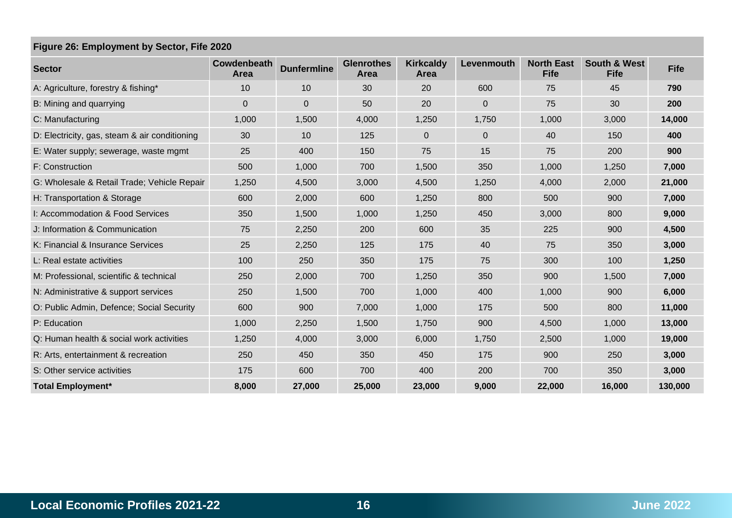## **Figure 26: Employment by Sector, Fife 2020**

| <b>Sector</b>                                 | Cowdenbeath<br><b>Area</b> | <b>Dunfermline</b> | <b>Glenrothes</b><br>Area | <b>Kirkcaldy</b><br>Area | Levenmouth  | <b>North East</b><br><b>Fife</b> | <b>South &amp; West</b><br><b>Fife</b> | <b>Fife</b> |
|-----------------------------------------------|----------------------------|--------------------|---------------------------|--------------------------|-------------|----------------------------------|----------------------------------------|-------------|
| A: Agriculture, forestry & fishing*           | 10                         | 10                 | 30                        | 20                       | 600         | 75                               | 45                                     | 790         |
| B: Mining and quarrying                       | $\overline{0}$             | $\mathbf 0$        | 50                        | 20                       | $\mathbf 0$ | 75                               | 30                                     | 200         |
| C: Manufacturing                              | 1,000                      | 1,500              | 4,000                     | 1,250                    | 1,750       | 1,000                            | 3,000                                  | 14,000      |
| D: Electricity, gas, steam & air conditioning | 30                         | 10                 | 125                       | 0                        | $\mathbf 0$ | 40                               | 150                                    | 400         |
| E: Water supply; sewerage, waste mgmt         | 25                         | 400                | 150                       | 75                       | 15          | 75                               | 200                                    | 900         |
| F: Construction                               | 500                        | 1,000              | 700                       | 1,500                    | 350         | 1,000                            | 1,250                                  | 7,000       |
| G: Wholesale & Retail Trade; Vehicle Repair   | 1,250                      | 4,500              | 3,000                     | 4,500                    | 1,250       | 4,000                            | 2,000                                  | 21,000      |
| H: Transportation & Storage                   | 600                        | 2,000              | 600                       | 1,250                    | 800         | 500                              | 900                                    | 7,000       |
| I: Accommodation & Food Services              | 350                        | 1,500              | 1,000                     | 1,250                    | 450         | 3,000                            | 800                                    | 9,000       |
| J: Information & Communication                | 75                         | 2,250              | 200                       | 600                      | 35          | 225                              | 900                                    | 4,500       |
| K: Financial & Insurance Services             | 25                         | 2,250              | 125                       | 175                      | 40          | 75                               | 350                                    | 3,000       |
| L: Real estate activities                     | 100                        | 250                | 350                       | 175                      | 75          | 300                              | 100                                    | 1,250       |
| M: Professional, scientific & technical       | 250                        | 2,000              | 700                       | 1,250                    | 350         | 900                              | 1,500                                  | 7,000       |
| N: Administrative & support services          | 250                        | 1,500              | 700                       | 1,000                    | 400         | 1,000                            | 900                                    | 6,000       |
| O: Public Admin, Defence; Social Security     | 600                        | 900                | 7,000                     | 1,000                    | 175         | 500                              | 800                                    | 11,000      |
| P: Education                                  | 1,000                      | 2,250              | 1,500                     | 1,750                    | 900         | 4,500                            | 1,000                                  | 13,000      |
| Q: Human health & social work activities      | 1,250                      | 4,000              | 3,000                     | 6,000                    | 1,750       | 2,500                            | 1,000                                  | 19,000      |
| R: Arts, entertainment & recreation           | 250                        | 450                | 350                       | 450                      | 175         | 900                              | 250                                    | 3,000       |
| S: Other service activities                   | 175                        | 600                | 700                       | 400                      | 200         | 700                              | 350                                    | 3,000       |
| <b>Total Employment*</b>                      | 8,000                      | 27,000             | 25,000                    | 23,000                   | 9,000       | 22,000                           | 16,000                                 | 130,000     |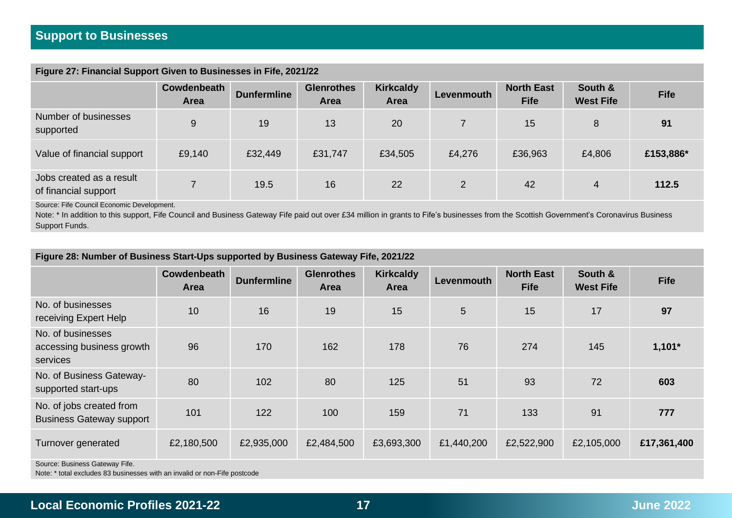## **Figure 27: Financial Support Given to Businesses in Fife, 2021/22**

| . .<br>. .                                       |                            |                    |                           |                          |                |                                  |                             |             |
|--------------------------------------------------|----------------------------|--------------------|---------------------------|--------------------------|----------------|----------------------------------|-----------------------------|-------------|
|                                                  | Cowdenbeath<br><b>Area</b> | <b>Dunfermline</b> | <b>Glenrothes</b><br>Area | <b>Kirkcaldy</b><br>Area | Levenmouth     | <b>North East</b><br><b>Fife</b> | South &<br><b>West Fife</b> | <b>Fife</b> |
| Number of businesses<br>supported                | 9                          | 19                 | 13                        | 20                       |                | 15                               | 8                           | 91          |
| Value of financial support                       | £9,140                     | £32,449            | £31,747                   | £34,505                  | £4,276         | £36,963                          | £4,806                      | £153,886*   |
| Jobs created as a result<br>of financial support |                            | 19.5               | 16                        | 22                       | $\overline{2}$ | 42                               | 4                           | 112.5       |

Source: Fife Council Economic Development.

Note: \* In addition to this support, Fife Council and Business Gateway Fife paid out over £34 million in grants to Fife's businesses from the Scottish Government's Coronavirus Business Support Funds.

## **Figure 28: Number of Business Start-Ups supported by Business Gateway Fife, 2021/22**

|                                                             | <b>Cowdenbeath</b><br><b>Area</b> | <b>Dunfermline</b> | <b>Glenrothes</b><br><b>Area</b> | <b>Kirkcaldy</b><br><b>Area</b> | Levenmouth | <b>North East</b><br><b>Fife</b> | South &<br><b>West Fife</b> | <b>Fife</b> |
|-------------------------------------------------------------|-----------------------------------|--------------------|----------------------------------|---------------------------------|------------|----------------------------------|-----------------------------|-------------|
| No. of businesses<br>receiving Expert Help                  | 10                                | 16                 | 19                               | 15                              | 5          | 15                               | 17                          | 97          |
| No. of businesses<br>accessing business growth<br>services  | 96                                | 170                | 162                              | 178                             | 76         | 274                              | 145                         | $1,101*$    |
| No. of Business Gateway-<br>supported start-ups             | 80                                | 102                | 80                               | 125                             | 51         | 93                               | 72                          | 603         |
| No. of jobs created from<br><b>Business Gateway support</b> | 101                               | 122                | 100                              | 159                             | 71         | 133                              | 91                          | 777         |
| Turnover generated                                          | £2,180,500                        | £2,935,000         | £2,484,500                       | £3,693,300                      | £1,440,200 | £2,522,900                       | £2,105,000                  | £17,361,400 |
| Source: Business Gateway Fife.                              |                                   |                    |                                  |                                 |            |                                  |                             |             |

Note: \* total excludes 83 businesses with an invalid or non-Fife postcode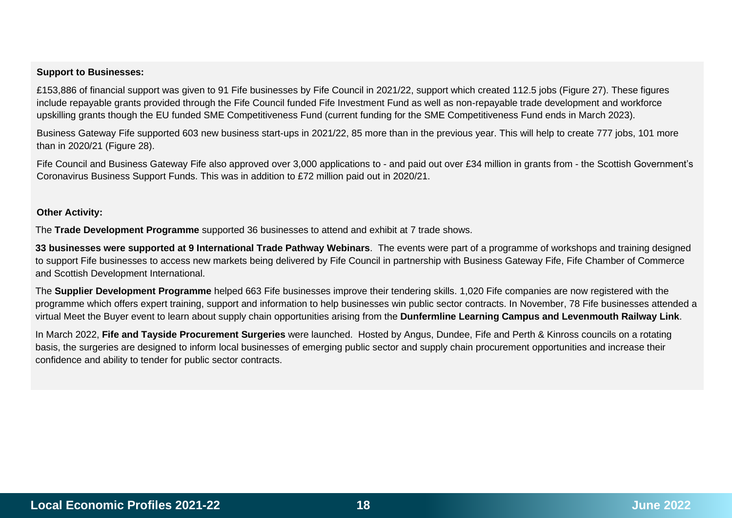#### **Support to Businesses:**

£153,886 of financial support was given to 91 Fife businesses by Fife Council in 2021/22, support which created 112.5 jobs (Figure 27). These figures include repayable grants provided through the Fife Council funded Fife Investment Fund as well as non-repayable trade development and workforce upskilling grants though the EU funded SME Competitiveness Fund (current funding for the SME Competitiveness Fund ends in March 2023).

Business Gateway Fife supported 603 new business start-ups in 2021/22, 85 more than in the previous year. This will help to create 777 jobs, 101 more than in 2020/21 (Figure 28).

Fife Council and Business Gateway Fife also approved over 3,000 applications to - and paid out over £34 million in grants from - the Scottish Government's Coronavirus Business Support Funds. This was in addition to £72 million paid out in 2020/21.

#### **Other Activity:**

The **Trade Development Programme** supported 36 businesses to attend and exhibit at 7 trade shows.

**33 businesses were supported at 9 International Trade Pathway Webinars**. The events were part of a programme of workshops and training designed to support Fife businesses to access new markets being delivered by Fife Council in partnership with Business Gateway Fife, Fife Chamber of Commerce and Scottish Development International.

The **Supplier Development Programme** helped 663 Fife businesses improve their tendering skills. 1,020 Fife companies are now registered with the programme which offers expert training, support and information to help businesses win public sector contracts. In November, 78 Fife businesses attended a virtual Meet the Buyer event to learn about supply chain opportunities arising from the **Dunfermline Learning Campus and Levenmouth Railway Link**.

In March 2022, **Fife and Tayside Procurement Surgeries** were launched. Hosted by Angus, Dundee, Fife and Perth & Kinross councils on a rotating basis, the surgeries are designed to inform local businesses of emerging public sector and supply chain procurement opportunities and increase their confidence and ability to tender for public sector contracts.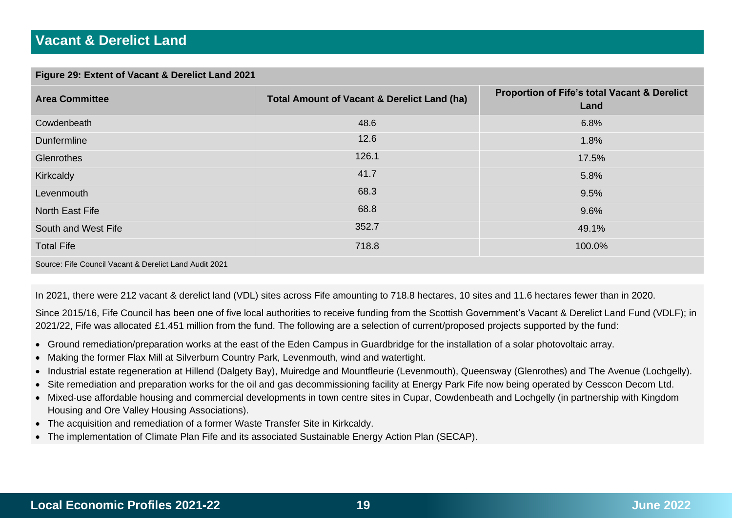### **Figure 29: Extent of Vacant & Derelict Land 2021**

| <b>Area Committee</b> | <b>Total Amount of Vacant &amp; Derelict Land (ha)</b> | Proportion of Fife's total Vacant & Derelict<br>Land |
|-----------------------|--------------------------------------------------------|------------------------------------------------------|
| Cowdenbeath           | 48.6                                                   | 6.8%                                                 |
| Dunfermline           | 12.6                                                   | 1.8%                                                 |
| Glenrothes            | 126.1                                                  | 17.5%                                                |
| Kirkcaldy             | 41.7                                                   | 5.8%                                                 |
| Levenmouth            | 68.3                                                   | 9.5%                                                 |
| North East Fife       | 68.8                                                   | 9.6%                                                 |
| South and West Fife   | 352.7                                                  | 49.1%                                                |
| <b>Total Fife</b>     | 718.8                                                  | 100.0%                                               |
|                       |                                                        |                                                      |

Source: Fife Council Vacant & Derelict Land Audit 2021

In 2021, there were 212 vacant & derelict land (VDL) sites across Fife amounting to 718.8 hectares, 10 sites and 11.6 hectares fewer than in 2020.

Since 2015/16, Fife Council has been one of five local authorities to receive funding from the Scottish Government's Vacant & Derelict Land Fund (VDLF); in 2021/22, Fife was allocated £1.451 million from the fund. The following are a selection of current/proposed projects supported by the fund:

- Ground remediation/preparation works at the east of the Eden Campus in Guardbridge for the installation of a solar photovoltaic array.
- Making the former Flax Mill at Silverburn Country Park, Levenmouth, wind and watertight.
- Industrial estate regeneration at Hillend (Dalgety Bay), Muiredge and Mountfleurie (Levenmouth), Queensway (Glenrothes) and The Avenue (Lochgelly).
- Site remediation and preparation works for the oil and gas decommissioning facility at Energy Park Fife now being operated by Cesscon Decom Ltd.
- Mixed-use affordable housing and commercial developments in town centre sites in Cupar, Cowdenbeath and Lochgelly (in partnership with Kingdom Housing and Ore Valley Housing Associations).
- The acquisition and remediation of a former Waste Transfer Site in Kirkcaldy.
- The implementation of Climate Plan Fife and its associated Sustainable Energy Action Plan (SECAP).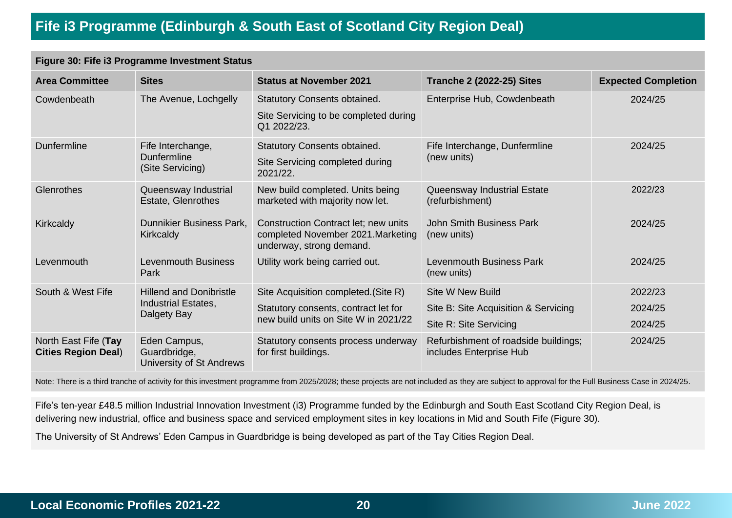# **Fife i3 Programme (Edinburgh & South East of Scotland City Region Deal)**

## **Figure 30: Fife i3 Programme Investment Status**

| <b>Area Committee</b>                              | <b>Sites</b>                                                | <b>Status at November 2021</b>                                                                         | <b>Tranche 2 (2022-25) Sites</b>                                | <b>Expected Completion</b> |
|----------------------------------------------------|-------------------------------------------------------------|--------------------------------------------------------------------------------------------------------|-----------------------------------------------------------------|----------------------------|
| Cowdenbeath                                        | The Avenue, Lochgelly                                       | <b>Statutory Consents obtained.</b><br>Site Servicing to be completed during<br>Q1 2022/23.            | Enterprise Hub, Cowdenbeath                                     | 2024/25                    |
| <b>Dunfermline</b>                                 | Fife Interchange,<br><b>Dunfermline</b><br>(Site Servicing) | <b>Statutory Consents obtained.</b><br>Site Servicing completed during<br>2021/22.                     | Fife Interchange, Dunfermline<br>(new units)                    | 2024/25                    |
| <b>Glenrothes</b>                                  | Queensway Industrial<br><b>Estate, Glenrothes</b>           | New build completed. Units being<br>marketed with majority now let.                                    | Queensway Industrial Estate<br>(refurbishment)                  | 2022/23                    |
| Kirkcaldy                                          | Dunnikier Business Park,<br>Kirkcaldy                       | Construction Contract let; new units<br>completed November 2021. Marketing<br>underway, strong demand. | <b>John Smith Business Park</b><br>(new units)                  | 2024/25                    |
| Levenmouth                                         | <b>Levenmouth Business</b><br>Park                          | Utility work being carried out.                                                                        | <b>Levenmouth Business Park</b><br>(new units)                  | 2024/25                    |
| South & West Fife                                  | <b>Hillend and Donibristle</b>                              | Site Acquisition completed. (Site R)                                                                   | Site W New Build                                                | 2022/23                    |
|                                                    | Industrial Estates,<br>Dalgety Bay                          | Statutory consents, contract let for                                                                   | Site B: Site Acquisition & Servicing                            | 2024/25                    |
|                                                    |                                                             | new build units on Site W in 2021/22                                                                   | Site R: Site Servicing                                          | 2024/25                    |
| North East Fife (Tay<br><b>Cities Region Deal)</b> | Eden Campus,<br>Guardbridge,<br>University of St Andrews    | Statutory consents process underway<br>for first buildings.                                            | Refurbishment of roadside buildings;<br>includes Enterprise Hub | 2024/25                    |

Note: There is a third tranche of activity for this investment programme from 2025/2028; these projects are not included as they are subject to approval for the Full Business Case in 2024/25.

Fife's ten-year £48.5 million Industrial Innovation Investment (i3) Programme funded by the Edinburgh and South East Scotland City Region Deal, is delivering new industrial, office and business space and serviced employment sites in key locations in Mid and South Fife (Figure 30).

The University of St Andrews' Eden Campus in Guardbridge is being developed as part of the Tay Cities Region Deal.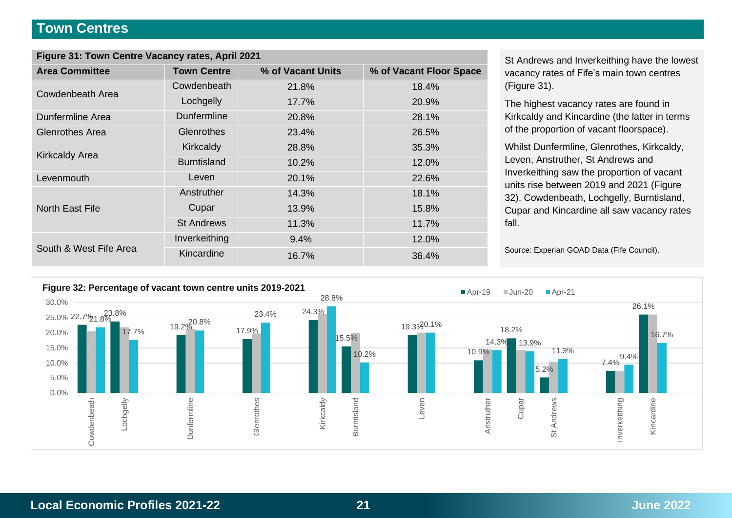## **Town Centres**

| Figure 31: Town Centre Vacancy rates, April 2021 |                    |                   |                         |  |  |  |  |  |
|--------------------------------------------------|--------------------|-------------------|-------------------------|--|--|--|--|--|
| <b>Area Committee</b>                            | <b>Town Centre</b> | % of Vacant Units | % of Vacant Floor Space |  |  |  |  |  |
| Cowdenbeath Area                                 | Cowdenbeath        | 21.8%             | 18.4%                   |  |  |  |  |  |
|                                                  | Lochgelly          | 17.7%             | 20.9%                   |  |  |  |  |  |
| <b>Dunfermline Area</b>                          | Dunfermline        | 20.8%             | 28.1%                   |  |  |  |  |  |
| <b>Glenrothes Area</b>                           | Glenrothes         | 23.4%             | 26.5%                   |  |  |  |  |  |
|                                                  | Kirkcaldy          | 28.8%             | 35.3%                   |  |  |  |  |  |
| <b>Kirkcaldy Area</b>                            | <b>Burntisland</b> | 10.2%             | 12.0%                   |  |  |  |  |  |
| Levenmouth                                       | Leven              | 20.1%             | 22.6%                   |  |  |  |  |  |
|                                                  | Anstruther         | 14.3%             | 18.1%                   |  |  |  |  |  |
| North East Fife                                  | Cupar              | 13.9%             | 15.8%                   |  |  |  |  |  |
|                                                  | <b>St Andrews</b>  | 11.3%             | 11.7%                   |  |  |  |  |  |
| South & West Fife Area                           | Inverkeithing      | 9.4%              | 12.0%                   |  |  |  |  |  |
|                                                  | Kincardine         | 16.7%             | 36.4%                   |  |  |  |  |  |

**St Andrews and Inverkeithing have the lowest** vacancy rates of Fife's main town centres (Figure 31).

The highest vacancy rates are found in Kirkcaldy and Kincardine (the latter in terms of the proportion of vacant floorspace).

Whilst Dunfermline, Glenrothes, Kirkcaldy, Leven, Anstruther, St Andrews and Inverkeithing saw the proportion of vacant units rise between 2019 and 2021 (Figure 32), Cowdenbeath, Lochgelly, Burntisland, Cupar and Kincardine all saw vacancy rates fall.

Source: Experian GOAD Data (Fife Council).



**Local Economic Profiles 2021-22 21 June 2022**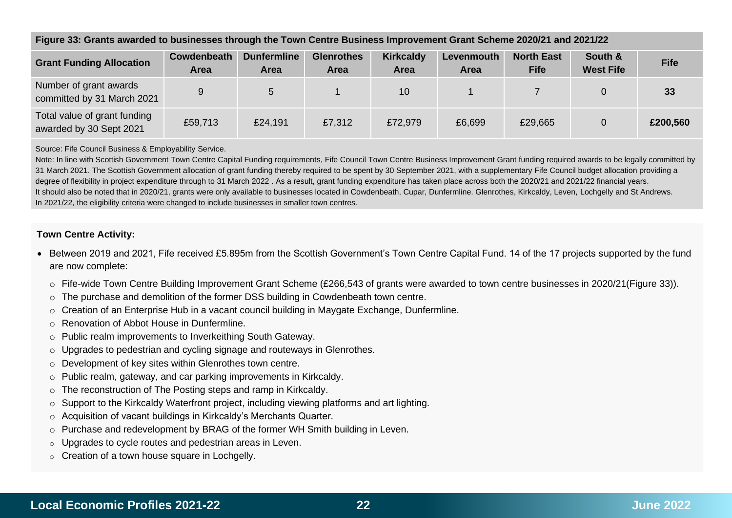|                                                         | I RAIV OO: ORANG AMARGA IO DAGINGGGG IMOAGH ING TOMITOGINIG DAGINGGG IMIDIONGINGIN ORANG LOGUG LOGUG LOGUG LOG |                                   |                                  |                          |                           |                                  |                             |             |
|---------------------------------------------------------|----------------------------------------------------------------------------------------------------------------|-----------------------------------|----------------------------------|--------------------------|---------------------------|----------------------------------|-----------------------------|-------------|
| <b>Grant Funding Allocation</b>                         | Cowdenbeath<br><b>Area</b>                                                                                     | <b>Dunfermline</b><br><b>Area</b> | <b>Glenrothes</b><br><b>Area</b> | <b>Kirkcaldy</b><br>Area | Levenmouth<br><b>Area</b> | <b>North East</b><br><b>Fife</b> | South &<br><b>West Fife</b> | <b>Fife</b> |
| Number of grant awards<br>committed by 31 March 2021    | 9                                                                                                              | 5                                 |                                  | 10                       |                           |                                  | $\Omega$                    | 33          |
| Total value of grant funding<br>awarded by 30 Sept 2021 | £59,713                                                                                                        | £24,191                           | £7,312                           | £72,979                  | £6,699                    | £29,665                          | $\overline{0}$              | £200,560    |

#### **Figure 33: Grants awarded to businesses through the Town Centre Business Improvement Grant Scheme 2020/21 and 2021/22**

Source: Fife Council Business & Employability Service.

Note: In line with Scottish Government Town Centre Capital Funding requirements, Fife Council Town Centre Business Improvement Grant funding required awards to be legally committed by 31 March 2021. The Scottish Government allocation of grant funding thereby required to be spent by 30 September 2021, with a supplementary Fife Council budget allocation providing a degree of flexibility in project expenditure through to 31 March 2022 . As a result, grant funding expenditure has taken place across both the 2020/21 and 2021/22 financial years. It should also be noted that in 2020/21, grants were only available to businesses located in Cowdenbeath, Cupar, Dunfermline. Glenrothes, Kirkcaldy, Leven, Lochgelly and St Andrews. In 2021/22, the eligibility criteria were changed to include businesses in smaller town centres.

### **Town Centre Activity:**

- Between 2019 and 2021, Fife received £5.895m from the Scottish Government's Town Centre Capital Fund. 14 of the 17 projects supported by the fund are now complete:
	- o Fife-wide Town Centre Building Improvement Grant Scheme (£266,543 of grants were awarded to town centre businesses in 2020/21(Figure 33)).
	- o The purchase and demolition of the former DSS building in Cowdenbeath town centre.
	- o Creation of an Enterprise Hub in a vacant council building in Maygate Exchange, Dunfermline.
	- o Renovation of Abbot House in Dunfermline.
	- o Public realm improvements to Inverkeithing South Gateway.
	- o Upgrades to pedestrian and cycling signage and routeways in Glenrothes.
	- o Development of key sites within Glenrothes town centre.
	- o Public realm, gateway, and car parking improvements in Kirkcaldy.
	- o The reconstruction of The Posting steps and ramp in Kirkcaldy.
	- $\circ$  Support to the Kirkcaldy Waterfront project, including viewing platforms and art lighting.
	- o Acquisition of vacant buildings in Kirkcaldy's Merchants Quarter.
	- $\circ$  Purchase and redevelopment by BRAG of the former WH Smith building in Leven.
	- Upgrades to cycle routes and pedestrian areas in Leven.
	- $\circ$  Creation of a town house square in Lochgelly.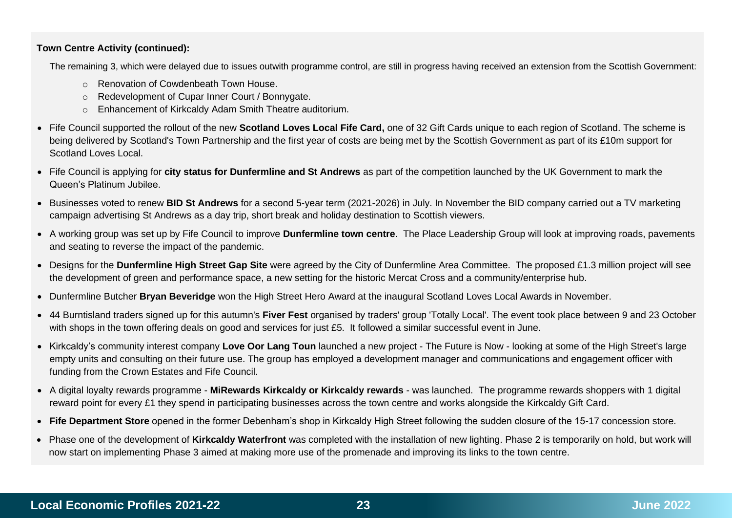## **Town Centre Activity (continued):**

The remaining 3, which were delayed due to issues outwith programme control, are still in progress having received an extension from the Scottish Government:

- o Renovation of Cowdenbeath Town House.
- o Redevelopment of Cupar Inner Court / Bonnygate.
- o Enhancement of Kirkcaldy Adam Smith Theatre auditorium.
- Fife Council supported the rollout of the new **Scotland Loves Local Fife Card,** one of 32 Gift Cards unique to each region of Scotland. The scheme is being delivered by Scotland's Town Partnership and the first year of costs are being met by the Scottish Government as part of its £10m support for Scotland Loves Local.
- Fife Council is applying for **city status for Dunfermline and St Andrews** as part of the competition launched by the UK Government to mark the Queen's Platinum Jubilee.
- Businesses voted to renew **BID St Andrews** for a second 5-year term (2021-2026) in July. In November the BID company carried out a TV marketing campaign advertising St Andrews as a day trip, short break and holiday destination to Scottish viewers.
- A working group was set up by Fife Council to improve **Dunfermline town centre**. The Place Leadership Group will look at improving roads, pavements and seating to reverse the impact of the pandemic.
- Designs for the **Dunfermline High Street Gap Site** were agreed by the City of Dunfermline Area Committee. The proposed £1.3 million project will see the development of green and performance space, a new setting for the historic Mercat Cross and a community/enterprise hub.
- Dunfermline Butcher **Bryan Beveridge** won the High Street Hero Award at the inaugural Scotland Loves Local Awards in November.
- 44 Burntisland traders signed up for this autumn's **Fiver Fest** organised by traders' group 'Totally Local'. The event took place between 9 and 23 October with shops in the town offering deals on good and services for just £5. It followed a similar successful event in June.
- Kirkcaldy's community interest company **Love Oor Lang Toun** launched a new project The Future is Now looking at some of the High Street's large empty units and consulting on their future use. The group has employed a development manager and communications and engagement officer with funding from the Crown Estates and Fife Council.
- A digital loyalty rewards programme **MiRewards Kirkcaldy or Kirkcaldy rewards** was launched. The programme rewards shoppers with 1 digital reward point for every £1 they spend in participating businesses across the town centre and works alongside the Kirkcaldy Gift Card.
- **Fife Department Store** opened in the former Debenham's shop in Kirkcaldy High Street following the sudden closure of the 15-17 concession store.
- Phase one of the development of **Kirkcaldy Waterfront** was completed with the installation of new lighting. Phase 2 is temporarily on hold, but work will now start on implementing Phase 3 aimed at making more use of the promenade and improving its links to the town centre.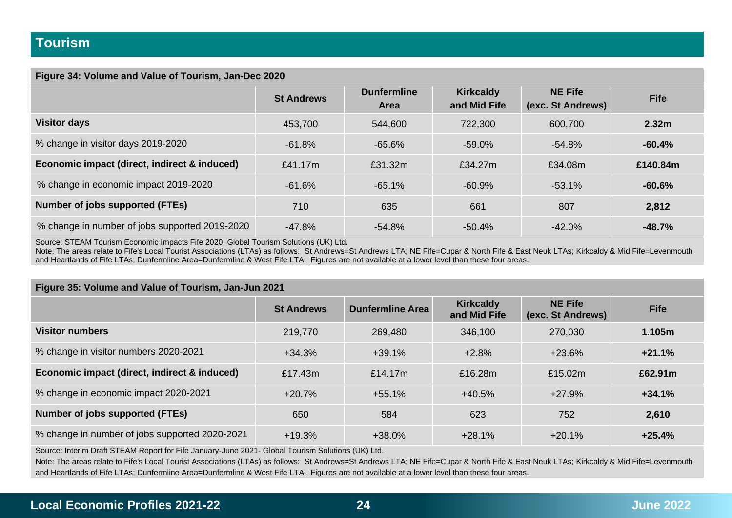#### **Figure 34: Volume and Value of Tourism, Jan-Dec 2020**

|                                                | <b>St Andrews</b> | <b>Dunfermline</b><br>Area | <b>Kirkcaldy</b><br>and Mid Fife | <b>NE Fife</b><br>(exc. St Andrews) | <b>Fife</b>       |
|------------------------------------------------|-------------------|----------------------------|----------------------------------|-------------------------------------|-------------------|
| <b>Visitor days</b>                            | 453,700           | 544,600                    | 722,300                          | 600,700                             | 2.32 <sub>m</sub> |
| % change in visitor days 2019-2020             | $-61.8%$          | $-65.6%$                   | $-59.0\%$                        | -54.8%                              | $-60.4%$          |
| Economic impact (direct, indirect & induced)   | £41.17m           | £31.32m                    | £34.27m                          | £34.08m                             | £140.84m          |
| % change in economic impact 2019-2020          | $-61.6%$          | $-65.1%$                   | $-60.9%$                         | $-53.1\%$                           | $-60.6%$          |
| Number of jobs supported (FTEs)                | 710               | 635                        | 661                              | 807                                 | 2,812             |
| % change in number of jobs supported 2019-2020 | $-47.8%$          | $-54.8%$                   | $-50.4%$                         | $-42.0\%$                           | $-48.7%$          |

Source: STEAM Tourism Economic Impacts Fife 2020, Global Tourism Solutions (UK) Ltd.

Note: The areas relate to Fife's Local Tourist Associations (LTAs) as follows: St Andrews=St Andrews LTA; NE Fife=Cupar & North Fife & East Neuk LTAs; Kirkcaldy & Mid Fife=Levenmouth and Heartlands of Fife LTAs; Dunfermline Area=Dunfermline & West Fife LTA. Figures are not available at a lower level than these four areas.

## **Figure 35: Volume and Value of Tourism, Jan-Jun 2021 St Andrews Dunfermline Area Kirkcaldy and Mid Fife NE Fife (exc. St Andrews) Fife Visitor numbers** 219,770 269,480 346,100 270,030 **1.105m** % change in visitor numbers 2020-2021 +34.3% +39.1% +2.8% +23.6% **+21.1% Economic impact (direct, indirect & induced)**  $f$  17.43m  $f$  14.17m  $f$  16.28m  $f$  15.02m **£62.91m** % change in economic impact 2020-2021  $+20.7\%$   $+55.1\%$   $+40.5\%$   $+27.9\%$   $+27.9\%$ **Number of jobs supported (FTEs)** 650 650 584 623 752 752 **2,610** % change in number of jobs supported 2020-2021 +19.3% +38.0% +28.1% +28.1% +20.1% +20.1% +25.4%

Source: Interim Draft STEAM Report for Fife January-June 2021- Global Tourism Solutions (UK) Ltd.

Note: The areas relate to Fife's Local Tourist Associations (LTAs) as follows: St Andrews=St Andrews LTA; NE Fife=Cupar & North Fife & East Neuk LTAs; Kirkcaldy & Mid Fife=Levenmouth and Heartlands of Fife LTAs; Dunfermline Area=Dunfermline & West Fife LTA. Figures are not available at a lower level than these four areas.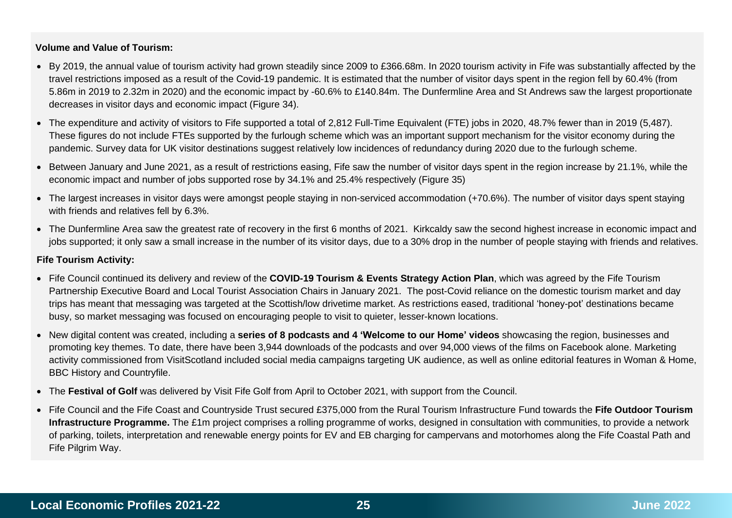### **Volume and Value of Tourism:**

- By 2019, the annual value of tourism activity had grown steadily since 2009 to £366.68m. In 2020 tourism activity in Fife was substantially affected by the travel restrictions imposed as a result of the Covid-19 pandemic. It is estimated that the number of visitor days spent in the region fell by 60.4% (from 5.86m in 2019 to 2.32m in 2020) and the economic impact by -60.6% to £140.84m. The Dunfermline Area and St Andrews saw the largest proportionate decreases in visitor days and economic impact (Figure 34).
- The expenditure and activity of visitors to Fife supported a total of 2,812 Full-Time Equivalent (FTE) jobs in 2020, 48.7% fewer than in 2019 (5,487). These figures do not include FTEs supported by the furlough scheme which was an important support mechanism for the visitor economy during the pandemic. Survey data for UK visitor destinations suggest relatively low incidences of redundancy during 2020 due to the furlough scheme.
- Between January and June 2021, as a result of restrictions easing, Fife saw the number of visitor days spent in the region increase by 21.1%, while the economic impact and number of jobs supported rose by 34.1% and 25.4% respectively (Figure 35)
- The largest increases in visitor days were amongst people staying in non-serviced accommodation (+70.6%). The number of visitor days spent staying with friends and relatives fell by 6.3%.
- The Dunfermline Area saw the greatest rate of recovery in the first 6 months of 2021. Kirkcaldy saw the second highest increase in economic impact and jobs supported; it only saw a small increase in the number of its visitor days, due to a 30% drop in the number of people staying with friends and relatives.

#### **Fife Tourism Activity:**

- Fife Council continued its delivery and review of the **COVID-19 Tourism & Events Strategy Action Plan**, which was agreed by the Fife Tourism Partnership Executive Board and Local Tourist Association Chairs in January 2021. The post-Covid reliance on the domestic tourism market and day trips has meant that messaging was targeted at the Scottish/low drivetime market. As restrictions eased, traditional 'honey-pot' destinations became busy, so market messaging was focused on encouraging people to visit to quieter, lesser-known locations.
- New digital content was created, including a **series of 8 podcasts and 4 'Welcome to our Home' videos** showcasing the region, businesses and promoting key themes. To date, there have been 3,944 downloads of the podcasts and over 94,000 views of the films on Facebook alone. Marketing activity commissioned from VisitScotland included social media campaigns targeting UK audience, as well as online editorial features in Woman & Home, BBC History and Countryfile.
- The **Festival of Golf** was delivered by Visit Fife Golf from April to October 2021, with support from the Council.
- Fife Council and the Fife Coast and Countryside Trust secured £375,000 from the Rural Tourism Infrastructure Fund towards the **Fife Outdoor Tourism Infrastructure Programme.** The £1m project comprises a rolling programme of works, designed in consultation with communities, to provide a network of parking, toilets, interpretation and renewable energy points for EV and EB charging for campervans and motorhomes along the Fife Coastal Path and Fife Pilgrim Way.